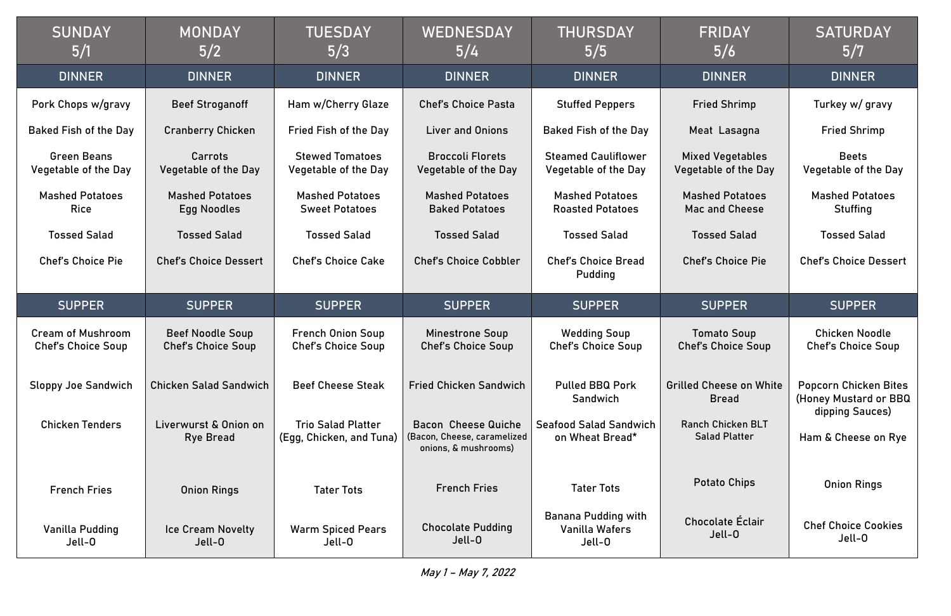| <b>SUNDAY</b><br>5/1                                  | <b>MONDAY</b><br>5/2                                 | <b>TUESDAY</b><br>5/3                                 | WEDNESDAY<br>5/4                                                                  | <b>THURSDAY</b><br>5/5                             | <b>FRIDAY</b><br>5/6                                   | <b>SATURDAY</b><br>5/7                                |
|-------------------------------------------------------|------------------------------------------------------|-------------------------------------------------------|-----------------------------------------------------------------------------------|----------------------------------------------------|--------------------------------------------------------|-------------------------------------------------------|
| <b>DINNER</b>                                         | <b>DINNER</b>                                        | <b>DINNER</b>                                         | <b>DINNER</b>                                                                     | <b>DINNER</b>                                      | <b>DINNER</b>                                          | <b>DINNER</b>                                         |
| Pork Chops w/gravy                                    | <b>Beef Stroganoff</b>                               | Ham w/Cherry Glaze                                    | <b>Chef's Choice Pasta</b>                                                        | <b>Stuffed Peppers</b>                             | <b>Fried Shrimp</b>                                    | Turkey w/ gravy                                       |
| <b>Baked Fish of the Day</b>                          | <b>Cranberry Chicken</b>                             | <b>Fried Fish of the Day</b>                          | <b>Liver and Onions</b>                                                           | <b>Baked Fish of the Day</b>                       | Meat Lasagna                                           | <b>Fried Shrimp</b>                                   |
| <b>Green Beans</b><br>Vegetable of the Day            | <b>Carrots</b><br><b>Vegetable of the Day</b>        | <b>Stewed Tomatoes</b><br>Vegetable of the Day        | <b>Broccoli Florets</b><br><b>Vegetable of the Day</b>                            | <b>Steamed Cauliflower</b><br>Vegetable of the Day | <b>Mixed Vegetables</b><br><b>Vegetable of the Day</b> | <b>Beets</b><br>Vegetable of the Day                  |
| <b>Mashed Potatoes</b><br><b>Rice</b>                 | <b>Mashed Potatoes</b><br><b>Egg Noodles</b>         | <b>Mashed Potatoes</b><br><b>Sweet Potatoes</b>       | <b>Mashed Potatoes</b><br><b>Baked Potatoes</b>                                   | <b>Mashed Potatoes</b><br><b>Roasted Potatoes</b>  | <b>Mashed Potatoes</b><br>Mac and Cheese               | <b>Mashed Potatoes</b><br><b>Stuffing</b>             |
| <b>Tossed Salad</b>                                   | <b>Tossed Salad</b>                                  | <b>Tossed Salad</b>                                   | <b>Tossed Salad</b>                                                               | <b>Tossed Salad</b>                                | <b>Tossed Salad</b>                                    | <b>Tossed Salad</b>                                   |
| <b>Chef's Choice Pie</b>                              | <b>Chef's Choice Dessert</b>                         | <b>Chef's Choice Cake</b>                             | <b>Chef's Choice Cobbler</b>                                                      | <b>Chef's Choice Bread</b><br>Pudding              | <b>Chef's Choice Pie</b>                               | <b>Chef's Choice Dessert</b>                          |
| <b>SUPPER</b>                                         | <b>SUPPER</b>                                        | <b>SUPPER</b>                                         | <b>SUPPER</b>                                                                     | <b>SUPPER</b>                                      | <b>SUPPER</b>                                          | <b>SUPPER</b>                                         |
|                                                       |                                                      |                                                       |                                                                                   |                                                    |                                                        |                                                       |
| <b>Cream of Mushroom</b><br><b>Chef's Choice Soup</b> | <b>Beef Noodle Soup</b><br><b>Chef's Choice Soup</b> | <b>French Onion Soup</b><br><b>Chef's Choice Soup</b> | <b>Minestrone Soup</b><br>Chef's Choice Soup                                      | <b>Wedding Soup</b><br><b>Chef's Choice Soup</b>   | <b>Tomato Soup</b><br><b>Chef's Choice Soup</b>        | <b>Chicken Noodle</b><br><b>Chef's Choice Soup</b>    |
| <b>Sloppy Joe Sandwich</b>                            | <b>Chicken Salad Sandwich</b>                        | <b>Beef Cheese Steak</b>                              | <b>Fried Chicken Sandwich</b>                                                     | <b>Pulled BBQ Pork</b><br>Sandwich                 | <b>Grilled Cheese on White</b><br><b>Bread</b>         | <b>Popcorn Chicken Bites</b><br>(Honey Mustard or BBQ |
| <b>Chicken Tenders</b>                                | Liverwurst & Onion on<br><b>Rye Bread</b>            | <b>Trio Salad Platter</b><br>(Egg, Chicken, and Tuna) | <b>Bacon Cheese Quiche</b><br>(Bacon, Cheese, caramelized<br>onions, & mushrooms) | <b>Seafood Salad Sandwich</b><br>on Wheat Bread*   | <b>Ranch Chicken BLT</b><br><b>Salad Platter</b>       | dipping Sauces)<br>Ham & Cheese on Rye                |
| <b>French Fries</b>                                   | <b>Onion Rings</b>                                   | <b>Tater Tots</b>                                     | <b>French Fries</b>                                                               | <b>Tater Tots</b>                                  | <b>Potato Chips</b>                                    | <b>Onion Rings</b>                                    |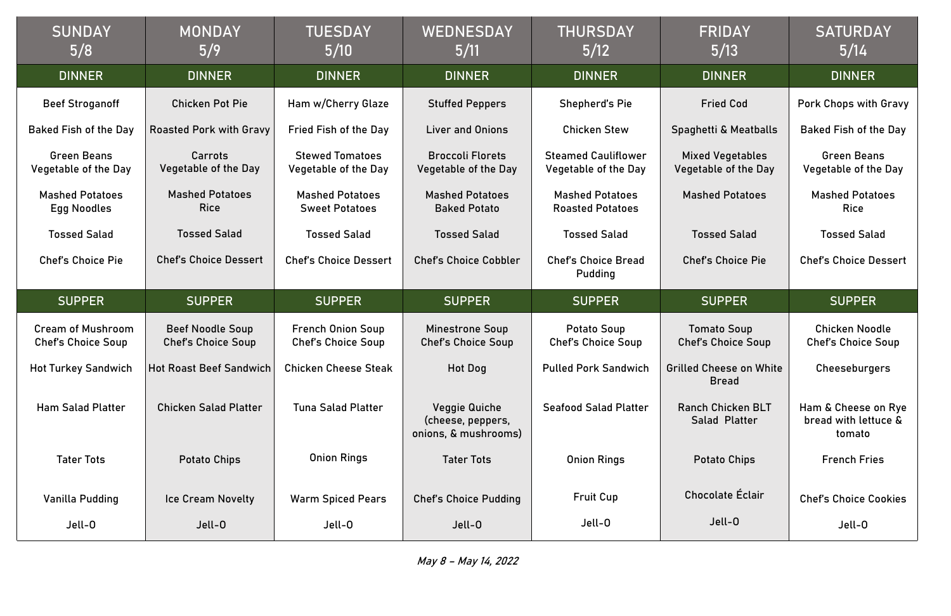| <b>SUNDAY</b><br>5/8                                  | <b>MONDAY</b><br>5/9                                 | <b>TUESDAY</b><br>5/10                                | WEDNESDAY<br>5/11                                                 | <b>THURSDAY</b><br>5/12                            | <b>FRIDAY</b><br>5/13                                  | <b>SATURDAY</b><br>5/14                           |
|-------------------------------------------------------|------------------------------------------------------|-------------------------------------------------------|-------------------------------------------------------------------|----------------------------------------------------|--------------------------------------------------------|---------------------------------------------------|
| <b>DINNER</b>                                         | <b>DINNER</b>                                        | <b>DINNER</b>                                         | <b>DINNER</b>                                                     | <b>DINNER</b>                                      | <b>DINNER</b>                                          | <b>DINNER</b>                                     |
| <b>Beef Stroganoff</b>                                | <b>Chicken Pot Pie</b>                               | Ham w/Cherry Glaze                                    | <b>Stuffed Peppers</b>                                            | Shepherd's Pie                                     | <b>Fried Cod</b>                                       | Pork Chops with Gr                                |
| <b>Baked Fish of the Day</b>                          | <b>Roasted Pork with Gravy</b>                       | <b>Fried Fish of the Day</b>                          | <b>Liver and Onions</b>                                           | <b>Chicken Stew</b>                                | Spaghetti & Meatballs                                  | <b>Baked Fish of the I</b>                        |
| <b>Green Beans</b><br><b>Vegetable of the Day</b>     | <b>Carrots</b><br><b>Vegetable of the Day</b>        | <b>Stewed Tomatoes</b><br><b>Vegetable of the Day</b> | <b>Broccoli Florets</b><br><b>Vegetable of the Day</b>            | <b>Steamed Cauliflower</b><br>Vegetable of the Day | <b>Mixed Vegetables</b><br><b>Vegetable of the Day</b> | <b>Green Beans</b><br>Vegetable of the D          |
| <b>Mashed Potatoes</b><br><b>Egg Noodles</b>          | <b>Mashed Potatoes</b><br><b>Rice</b>                | <b>Mashed Potatoes</b><br><b>Sweet Potatoes</b>       | <b>Mashed Potatoes</b><br><b>Baked Potato</b>                     | <b>Mashed Potatoes</b><br><b>Roasted Potatoes</b>  | <b>Mashed Potatoes</b>                                 | <b>Mashed Potatoe</b><br><b>Rice</b>              |
| <b>Tossed Salad</b>                                   | <b>Tossed Salad</b>                                  | <b>Tossed Salad</b>                                   | <b>Tossed Salad</b>                                               | <b>Tossed Salad</b>                                | <b>Tossed Salad</b>                                    | <b>Tossed Salad</b>                               |
| <b>Chef's Choice Pie</b>                              | <b>Chef's Choice Dessert</b>                         | <b>Chef's Choice Dessert</b>                          | <b>Chef's Choice Cobbler</b>                                      | <b>Chef's Choice Bread</b><br>Pudding              | <b>Chef's Choice Pie</b>                               | <b>Chef's Choice Dess</b>                         |
|                                                       |                                                      |                                                       |                                                                   |                                                    |                                                        |                                                   |
| <b>SUPPER</b>                                         | <b>SUPPER</b>                                        | <b>SUPPER</b>                                         | <b>SUPPER</b>                                                     | <b>SUPPER</b>                                      | <b>SUPPER</b>                                          | <b>SUPPER</b>                                     |
| <b>Cream of Mushroom</b><br><b>Chef's Choice Soup</b> | <b>Beef Noodle Soup</b><br><b>Chef's Choice Soup</b> | <b>French Onion Soup</b><br><b>Chef's Choice Soup</b> | <b>Minestrone Soup</b><br><b>Chef's Choice Soup</b>               | <b>Potato Soup</b><br><b>Chef's Choice Soup</b>    | <b>Tomato Soup</b><br><b>Chef's Choice Soup</b>        | <b>Chicken Noodle</b><br><b>Chef's Choice Sou</b> |
| <b>Hot Turkey Sandwich</b>                            | Hot Roast Beef Sandwich                              | <b>Chicken Cheese Steak</b>                           | <b>Hot Dog</b>                                                    | <b>Pulled Pork Sandwich</b>                        | <b>Grilled Cheese on White</b><br><b>Bread</b>         | Cheeseburgers                                     |
| <b>Ham Salad Platter</b>                              | <b>Chicken Salad Platter</b>                         | <b>Tuna Salad Platter</b>                             | <b>Veggie Quiche</b><br>(cheese, peppers,<br>onions, & mushrooms) | <b>Seafood Salad Platter</b>                       | <b>Ranch Chicken BLT</b><br>Salad Platter              | Ham & Cheese on I<br>bread with lettuce<br>tomato |
| <b>Tater Tots</b>                                     | <b>Potato Chips</b>                                  | <b>Onion Rings</b>                                    | <b>Tater Tots</b>                                                 | <b>Onion Rings</b>                                 | <b>Potato Chips</b>                                    | <b>French Fries</b>                               |
| Vanilla Pudding                                       | Ice Cream Novelty                                    | <b>Warm Spiced Pears</b>                              | <b>Chef's Choice Pudding</b>                                      | <b>Fruit Cup</b>                                   | Chocolate Éclair                                       | <b>Chef's Choice Cook</b>                         |

| <b>FRIDAY</b><br>5/13                                  | <b>SATURDAY</b><br>5/14                               |  |  |  |
|--------------------------------------------------------|-------------------------------------------------------|--|--|--|
| <b>DINNER</b>                                          | <b>DINNER</b>                                         |  |  |  |
| <b>Fried Cod</b>                                       | <b>Pork Chops with Gravy</b>                          |  |  |  |
| Spaghetti & Meatballs                                  | <b>Baked Fish of the Day</b>                          |  |  |  |
| <b>Mixed Vegetables</b><br><b>Vegetable of the Day</b> | <b>Green Beans</b><br>Vegetable of the Day            |  |  |  |
| <b>Mashed Potatoes</b>                                 | <b>Mashed Potatoes</b><br><b>Rice</b>                 |  |  |  |
| <b>Tossed Salad</b>                                    | <b>Tossed Salad</b>                                   |  |  |  |
| <b>Chef's Choice Pie</b>                               | <b>Chef's Choice Dessert</b>                          |  |  |  |
|                                                        |                                                       |  |  |  |
|                                                        |                                                       |  |  |  |
| <b>SUPPER</b>                                          | <b>SUPPER</b>                                         |  |  |  |
| <b>Tomato Soup</b><br><b>Chef's Choice Soup</b>        | <b>Chicken Noodle</b><br><b>Chef's Choice Soup</b>    |  |  |  |
| <b>Grilled Cheese on White</b><br><b>Bread</b>         | Cheeseburgers                                         |  |  |  |
| <b>Ranch Chicken BLT</b><br>Salad Platter              | Ham & Cheese on Rye<br>bread with lettuce &<br>tomato |  |  |  |
| <b>Potato Chips</b>                                    | <b>French Fries</b>                                   |  |  |  |
| Chocolate Éclair                                       | <b>Chef's Choice Cookies</b>                          |  |  |  |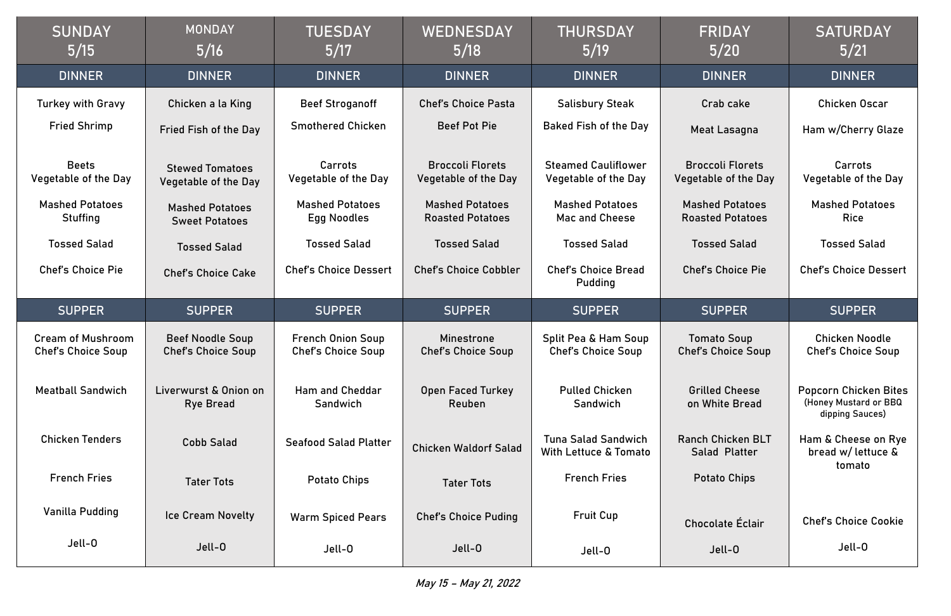# Crab cake eat Lasagna

| <b>SUNDAY</b><br>5/15                                 | <b>MONDAY</b><br>5/16                                 | <b>TUESDAY</b><br>5/17                                | <b>WEDNESDAY</b><br>5/18                          | <b>THURSDAY</b><br>5/19                                        | <b>FRIDAY</b><br>$5/20$                                | <b>SATURDAY</b><br>5/21                                     |
|-------------------------------------------------------|-------------------------------------------------------|-------------------------------------------------------|---------------------------------------------------|----------------------------------------------------------------|--------------------------------------------------------|-------------------------------------------------------------|
| <b>DINNER</b>                                         | <b>DINNER</b>                                         | <b>DINNER</b>                                         | <b>DINNER</b>                                     | <b>DINNER</b>                                                  | <b>DINNER</b>                                          | <b>DINNER</b>                                               |
| <b>Turkey with Gravy</b>                              | Chicken a la King                                     | <b>Beef Stroganoff</b>                                | <b>Chef's Choice Pasta</b>                        | <b>Salisbury Steak</b>                                         | Crab cake                                              | Chicken Oscar                                               |
| <b>Fried Shrimp</b>                                   | <b>Fried Fish of the Day</b>                          | <b>Smothered Chicken</b>                              | <b>Beef Pot Pie</b>                               | <b>Baked Fish of the Day</b>                                   | Meat Lasagna                                           | Ham w/Cherry Gla                                            |
| <b>Beets</b><br><b>Vegetable of the Day</b>           | <b>Stewed Tomatoes</b><br><b>Vegetable of the Day</b> | <b>Carrots</b><br><b>Vegetable of the Day</b>         | <b>Broccoli Florets</b><br>Vegetable of the Day   | <b>Steamed Cauliflower</b><br>Vegetable of the Day             | <b>Broccoli Florets</b><br><b>Vegetable of the Day</b> | <b>Carrots</b><br>Vegetable of the D                        |
| <b>Mashed Potatoes</b><br><b>Stuffing</b>             | <b>Mashed Potatoes</b><br><b>Sweet Potatoes</b>       | <b>Mashed Potatoes</b><br><b>Egg Noodles</b>          | <b>Mashed Potatoes</b><br><b>Roasted Potatoes</b> | <b>Mashed Potatoes</b><br>Mac and Cheese                       | <b>Mashed Potatoes</b><br><b>Roasted Potatoes</b>      | <b>Mashed Potatoes</b><br><b>Rice</b>                       |
| <b>Tossed Salad</b>                                   | <b>Tossed Salad</b>                                   | <b>Tossed Salad</b>                                   | <b>Tossed Salad</b>                               | <b>Tossed Salad</b>                                            | <b>Tossed Salad</b>                                    | <b>Tossed Salad</b>                                         |
| <b>Chef's Choice Pie</b>                              | <b>Chef's Choice Cake</b>                             | <b>Chef's Choice Dessert</b>                          | <b>Chef's Choice Cobbler</b>                      | <b>Chef's Choice Bread</b><br>Pudding                          | <b>Chef's Choice Pie</b>                               | <b>Chef's Choice Dess</b>                                   |
|                                                       |                                                       |                                                       |                                                   |                                                                |                                                        |                                                             |
| <b>SUPPER</b>                                         | <b>SUPPER</b>                                         | <b>SUPPER</b>                                         | <b>SUPPER</b>                                     | <b>SUPPER</b>                                                  | <b>SUPPER</b>                                          | <b>SUPPER</b>                                               |
| <b>Cream of Mushroom</b><br><b>Chef's Choice Soup</b> | <b>Beef Noodle Soup</b><br><b>Chef's Choice Soup</b>  | <b>French Onion Soup</b><br><b>Chef's Choice Soup</b> | <b>Minestrone</b><br><b>Chef's Choice Soup</b>    | Split Pea & Ham Soup<br><b>Chef's Choice Soup</b>              | <b>Tomato Soup</b><br><b>Chef's Choice Soup</b>        | <b>Chicken Noodle</b><br><b>Chef's Choice Sou</b>           |
| <b>Meatball Sandwich</b>                              | Liverwurst & Onion on<br><b>Rye Bread</b>             | <b>Ham and Cheddar</b><br>Sandwich                    | <b>Open Faced Turkey</b><br>Reuben                | <b>Pulled Chicken</b><br>Sandwich                              | <b>Grilled Cheese</b><br>on White Bread                | Popcorn Chicken B<br>(Honey Mustard or B<br>dipping Sauces) |
| <b>Chicken Tenders</b>                                | <b>Cobb Salad</b>                                     | <b>Seafood Salad Platter</b>                          | <b>Chicken Waldorf Salad</b>                      | <b>Tuna Salad Sandwich</b><br><b>With Lettuce &amp; Tomato</b> | <b>Ranch Chicken BLT</b><br><b>Salad Platter</b>       | Ham & Cheese on I<br>bread w/ lettuce                       |
| <b>French Fries</b>                                   | <b>Tater Tots</b>                                     | <b>Potato Chips</b>                                   | <b>Tater Tots</b>                                 | <b>French Fries</b>                                            | <b>Potato Chips</b>                                    | tomato                                                      |
| Vanilla Pudding                                       | <b>Ice Cream Novelty</b>                              | <b>Warm Spiced Pears</b>                              | <b>Chef's Choice Puding</b>                       | <b>Fruit Cup</b>                                               | Chocolate Éclair                                       | <b>Chef's Choice Coo</b>                                    |

Ham w/Cherry Glaze

Carrots Vegetable of the Day

Mashed Potatoes Rice

Chef's Choice Dessert

Chicken Noodle Chef's Choice Soup

Popcorn Chicken Bites (Honey Mustard or BBQ dipping Sauces)

Ham & Cheese on Rye bread w/ lettuce & tomato

Chef's Choice Cookie